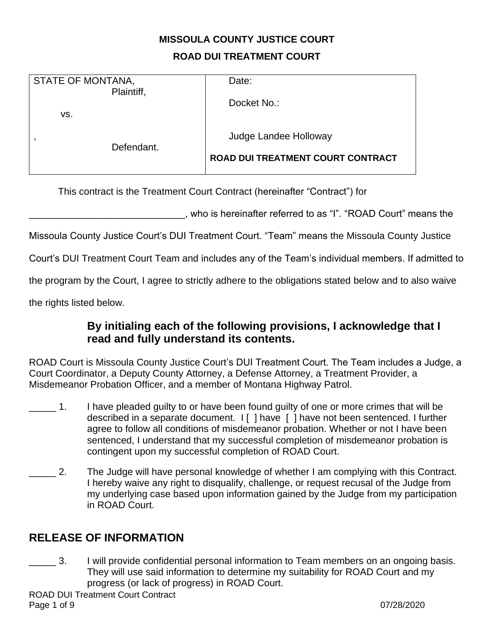# **MISSOULA COUNTY JUSTICE COURT ROAD DUI TREATMENT COURT**

| STATE OF MONTANA,<br>Plaintiff, |            | Date:                                                      |
|---------------------------------|------------|------------------------------------------------------------|
| VS.                             |            | Docket No.:                                                |
|                                 | Defendant. | Judge Landee Holloway<br>ROAD DUI TREATMENT COURT CONTRACT |

This contract is the Treatment Court Contract (hereinafter "Contract") for

\_\_\_\_\_\_\_\_\_\_\_\_\_\_\_\_\_\_\_\_\_\_\_\_\_\_\_\_\_, who is hereinafter referred to as "I". "ROAD Court" means the

Missoula County Justice Court's DUI Treatment Court. "Team" means the Missoula County Justice

Court's DUI Treatment Court Team and includes any of the Team's individual members. If admitted to

the program by the Court, I agree to strictly adhere to the obligations stated below and to also waive

the rights listed below.

## **By initialing each of the following provisions, I acknowledge that I read and fully understand its contents.**

ROAD Court is Missoula County Justice Court's DUI Treatment Court. The Team includes a Judge, a Court Coordinator, a Deputy County Attorney, a Defense Attorney, a Treatment Provider, a Misdemeanor Probation Officer, and a member of Montana Highway Patrol.

- 1. I have pleaded guilty to or have been found guilty of one or more crimes that will be described in a separate document. I [ ] have [ ] have not been sentenced. I further agree to follow all conditions of misdemeanor probation. Whether or not I have been sentenced, I understand that my successful completion of misdemeanor probation is contingent upon my successful completion of ROAD Court.
- 2. The Judge will have personal knowledge of whether I am complying with this Contract. I hereby waive any right to disqualify, challenge, or request recusal of the Judge from my underlying case based upon information gained by the Judge from my participation in ROAD Court.

## **RELEASE OF INFORMATION**

**EXECUSE:** 3. I will provide confidential personal information to Team members on an ongoing basis. They will use said information to determine my suitability for ROAD Court and my progress (or lack of progress) in ROAD Court.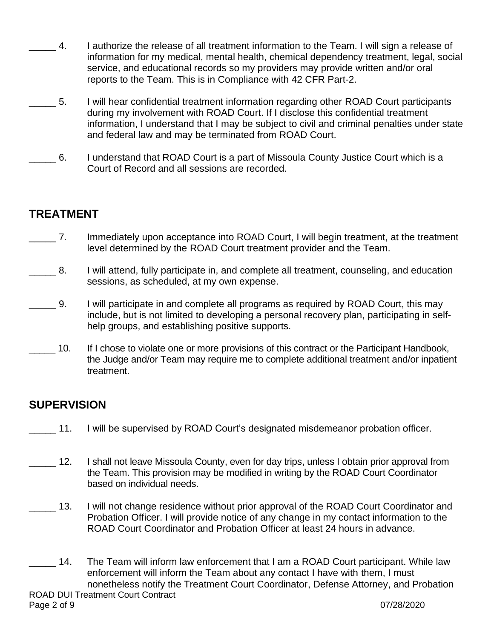- \_\_\_\_\_ 4. I authorize the release of all treatment information to the Team. I will sign a release of information for my medical, mental health, chemical dependency treatment, legal, social service, and educational records so my providers may provide written and/or oral reports to the Team. This is in Compliance with 42 CFR Part-2.
- \_\_\_\_\_ 5. I will hear confidential treatment information regarding other ROAD Court participants during my involvement with ROAD Court. If I disclose this confidential treatment information, I understand that I may be subject to civil and criminal penalties under state and federal law and may be terminated from ROAD Court.
- \_\_\_\_\_ 6. I understand that ROAD Court is a part of Missoula County Justice Court which is a Court of Record and all sessions are recorded.

# **TREATMENT**

- \_\_\_\_\_ 7. Immediately upon acceptance into ROAD Court, I will begin treatment, at the treatment level determined by the ROAD Court treatment provider and the Team.
- \_\_\_\_\_ 8. I will attend, fully participate in, and complete all treatment, counseling, and education sessions, as scheduled, at my own expense.
- **\_\_\_\_** 9. I will participate in and complete all programs as required by ROAD Court, this may include, but is not limited to developing a personal recovery plan, participating in selfhelp groups, and establishing positive supports.
- 10. If I chose to violate one or more provisions of this contract or the Participant Handbook, the Judge and/or Team may require me to complete additional treatment and/or inpatient treatment.

# **SUPERVISION**

- 11. I will be supervised by ROAD Court's designated misdemeanor probation officer.
- 12. I shall not leave Missoula County, even for day trips, unless I obtain prior approval from the Team. This provision may be modified in writing by the ROAD Court Coordinator based on individual needs.
- 13. I will not change residence without prior approval of the ROAD Court Coordinator and Probation Officer. I will provide notice of any change in my contact information to the ROAD Court Coordinator and Probation Officer at least 24 hours in advance.
- 14. The Team will inform law enforcement that I am a ROAD Court participant. While law enforcement will inform the Team about any contact I have with them, I must nonetheless notify the Treatment Court Coordinator, Defense Attorney, and Probation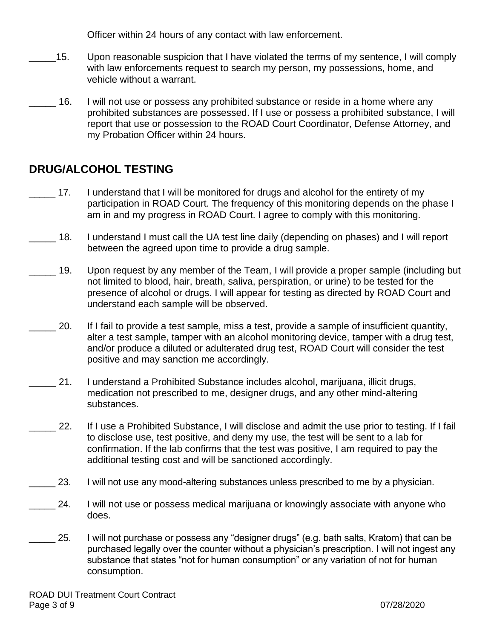Officer within 24 hours of any contact with law enforcement.

- \_\_\_\_\_15. Upon reasonable suspicion that I have violated the terms of my sentence, I will comply with law enforcements request to search my person, my possessions, home, and vehicle without a warrant.
- \_\_\_\_\_ 16. I will not use or possess any prohibited substance or reside in a home where any prohibited substances are possessed. If I use or possess a prohibited substance, I will report that use or possession to the ROAD Court Coordinator, Defense Attorney, and my Probation Officer within 24 hours.

## **DRUG/ALCOHOL TESTING**

- 17. I understand that I will be monitored for drugs and alcohol for the entirety of my participation in ROAD Court. The frequency of this monitoring depends on the phase I am in and my progress in ROAD Court. I agree to comply with this monitoring.
- 18. I understand I must call the UA test line daily (depending on phases) and I will report between the agreed upon time to provide a drug sample.
- 19. Upon request by any member of the Team, I will provide a proper sample (including but not limited to blood, hair, breath, saliva, perspiration, or urine) to be tested for the presence of alcohol or drugs. I will appear for testing as directed by ROAD Court and understand each sample will be observed.
- \_\_\_\_\_ 20. If I fail to provide a test sample, miss a test, provide a sample of insufficient quantity, alter a test sample, tamper with an alcohol monitoring device, tamper with a drug test, and/or produce a diluted or adulterated drug test, ROAD Court will consider the test positive and may sanction me accordingly.
- \_\_\_\_\_ 21. I understand a Prohibited Substance includes alcohol, marijuana, illicit drugs, medication not prescribed to me, designer drugs, and any other mind-altering substances.
- 22. If I use a Prohibited Substance, I will disclose and admit the use prior to testing. If I fail to disclose use, test positive, and deny my use, the test will be sent to a lab for confirmation. If the lab confirms that the test was positive, I am required to pay the additional testing cost and will be sanctioned accordingly.
- 23. I will not use any mood-altering substances unless prescribed to me by a physician.
- 24. I will not use or possess medical marijuana or knowingly associate with anyone who does.
- 25. I will not purchase or possess any "designer drugs" (e.g. bath salts, Kratom) that can be purchased legally over the counter without a physician's prescription. I will not ingest any substance that states "not for human consumption" or any variation of not for human consumption.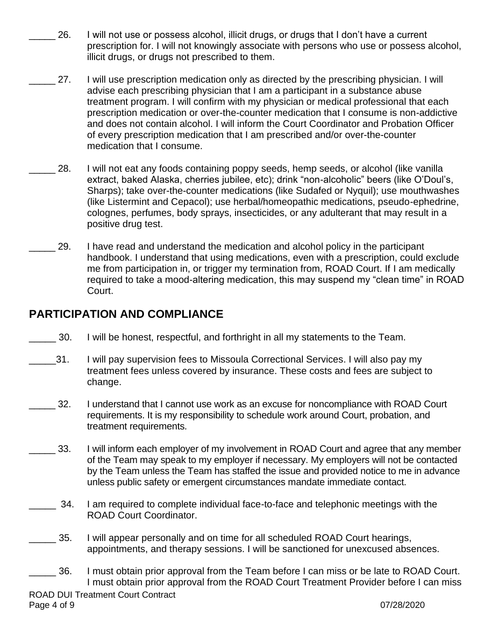- 26. I will not use or possess alcohol, illicit drugs, or drugs that I don't have a current prescription for. I will not knowingly associate with persons who use or possess alcohol, illicit drugs, or drugs not prescribed to them.
- \_\_\_\_\_ 27. I will use prescription medication only as directed by the prescribing physician. I will advise each prescribing physician that I am a participant in a substance abuse treatment program. I will confirm with my physician or medical professional that each prescription medication or over-the-counter medication that I consume is non-addictive and does not contain alcohol. I will inform the Court Coordinator and Probation Officer of every prescription medication that I am prescribed and/or over-the-counter medication that I consume.
- 28. I will not eat any foods containing poppy seeds, hemp seeds, or alcohol (like vanilla extract, baked Alaska, cherries jubilee, etc); drink "non-alcoholic" beers (like O'Doul's, Sharps); take over-the-counter medications (like Sudafed or Nyquil); use mouthwashes (like Listermint and Cepacol); use herbal/homeopathic medications, pseudo-ephedrine, colognes, perfumes, body sprays, insecticides, or any adulterant that may result in a positive drug test.
- 29. I have read and understand the medication and alcohol policy in the participant handbook. I understand that using medications, even with a prescription, could exclude me from participation in, or trigger my termination from, ROAD Court. If I am medically required to take a mood-altering medication, this may suspend my "clean time" in ROAD Court.

## **PARTICIPATION AND COMPLIANCE**

- \_\_\_\_\_ 30. I will be honest, respectful, and forthright in all my statements to the Team.
- 31. I will pay supervision fees to Missoula Correctional Services. I will also pay my treatment fees unless covered by insurance. These costs and fees are subject to change.
- 32. I understand that I cannot use work as an excuse for noncompliance with ROAD Court requirements. It is my responsibility to schedule work around Court, probation, and treatment requirements.
- 33. I will inform each employer of my involvement in ROAD Court and agree that any member of the Team may speak to my employer if necessary. My employers will not be contacted by the Team unless the Team has staffed the issue and provided notice to me in advance unless public safety or emergent circumstances mandate immediate contact.
- **200** 34. I am required to complete individual face-to-face and telephonic meetings with the ROAD Court Coordinator.
- 35. I will appear personally and on time for all scheduled ROAD Court hearings, appointments, and therapy sessions. I will be sanctioned for unexcused absences.
- **2008**. I must obtain prior approval from the Team before I can miss or be late to ROAD Court. I must obtain prior approval from the ROAD Court Treatment Provider before I can miss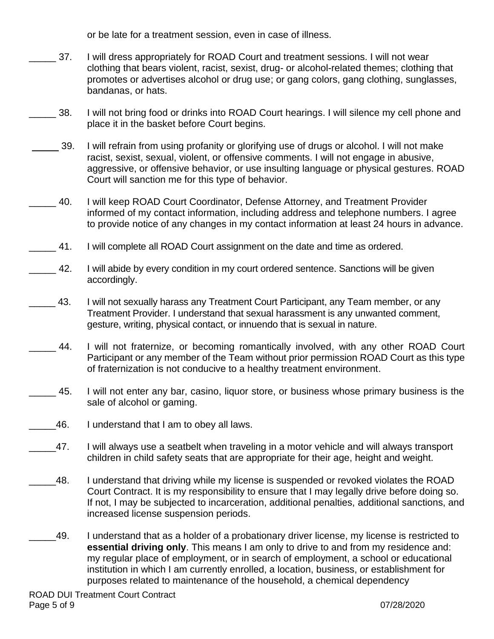or be late for a treatment session, even in case of illness.

- 37. I will dress appropriately for ROAD Court and treatment sessions. I will not wear clothing that bears violent, racist, sexist, drug- or alcohol-related themes; clothing that promotes or advertises alcohol or drug use; or gang colors, gang clothing, sunglasses, bandanas, or hats.
- **2008.** I will not bring food or drinks into ROAD Court hearings. I will silence my cell phone and place it in the basket before Court begins.
- 39. I will refrain from using profanity or glorifying use of drugs or alcohol. I will not make racist, sexist, sexual, violent, or offensive comments. I will not engage in abusive, aggressive, or offensive behavior, or use insulting language or physical gestures. ROAD Court will sanction me for this type of behavior.
- \_\_\_\_\_ 40. I will keep ROAD Court Coordinator, Defense Attorney, and Treatment Provider informed of my contact information, including address and telephone numbers. I agree to provide notice of any changes in my contact information at least 24 hours in advance.
- \_\_\_\_\_ 41. I will complete all ROAD Court assignment on the date and time as ordered.
- **2.** 42. I will abide by every condition in my court ordered sentence. Sanctions will be given accordingly.
	- 43. I will not sexually harass any Treatment Court Participant, any Team member, or any Treatment Provider. I understand that sexual harassment is any unwanted comment, gesture, writing, physical contact, or innuendo that is sexual in nature.
- 44. I will not fraternize, or becoming romantically involved, with any other ROAD Court Participant or any member of the Team without prior permission ROAD Court as this type of fraternization is not conducive to a healthy treatment environment.
- \_\_\_\_\_ 45. I will not enter any bar, casino, liquor store, or business whose primary business is the sale of alcohol or gaming.
- \_\_\_\_\_46. I understand that I am to obey all laws.
- \_\_\_\_\_47. I will always use a seatbelt when traveling in a motor vehicle and will always transport children in child safety seats that are appropriate for their age, height and weight.
- 48. I understand that driving while my license is suspended or revoked violates the ROAD Court Contract. It is my responsibility to ensure that I may legally drive before doing so. If not, I may be subjected to incarceration, additional penalties, additional sanctions, and increased license suspension periods.
- \_\_\_\_\_49. I understand that as a holder of a probationary driver license, my license is restricted to **essential driving only**. This means I am only to drive to and from my residence and: my regular place of employment, or in search of employment, a school or educational institution in which I am currently enrolled, a location, business, or establishment for purposes related to maintenance of the household, a chemical dependency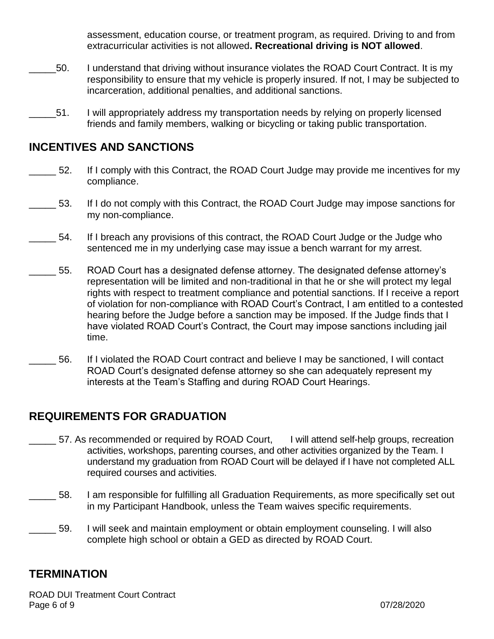assessment, education course, or treatment program, as required. Driving to and from extracurricular activities is not allowed**. Recreational driving is NOT allowed**.

- \_\_\_\_\_50. I understand that driving without insurance violates the ROAD Court Contract. It is my responsibility to ensure that my vehicle is properly insured. If not, I may be subjected to incarceration, additional penalties, and additional sanctions.
- \_\_\_\_\_51. I will appropriately address my transportation needs by relying on properly licensed friends and family members, walking or bicycling or taking public transportation.

#### **INCENTIVES AND SANCTIONS**

- 52. If I comply with this Contract, the ROAD Court Judge may provide me incentives for my compliance.
- 53. If I do not comply with this Contract, the ROAD Court Judge may impose sanctions for my non-compliance.
- \_\_\_\_\_ 54. If I breach any provisions of this contract, the ROAD Court Judge or the Judge who sentenced me in my underlying case may issue a bench warrant for my arrest.
- \_\_\_\_\_ 55. ROAD Court has a designated defense attorney. The designated defense attorney's representation will be limited and non-traditional in that he or she will protect my legal rights with respect to treatment compliance and potential sanctions. If I receive a report of violation for non-compliance with ROAD Court's Contract, I am entitled to a contested hearing before the Judge before a sanction may be imposed. If the Judge finds that I have violated ROAD Court's Contract, the Court may impose sanctions including jail time.
- 56. If I violated the ROAD Court contract and believe I may be sanctioned, I will contact ROAD Court's designated defense attorney so she can adequately represent my interests at the Team's Staffing and during ROAD Court Hearings.

## **REQUIREMENTS FOR GRADUATION**

- 57. As recommended or required by ROAD Court, I will attend self-help groups, recreation activities, workshops, parenting courses, and other activities organized by the Team. I understand my graduation from ROAD Court will be delayed if I have not completed ALL required courses and activities.
- \_\_\_\_\_ 58. I am responsible for fulfilling all Graduation Requirements, as more specifically set out in my Participant Handbook, unless the Team waives specific requirements.
	- \_\_\_\_\_ 59. I will seek and maintain employment or obtain employment counseling. I will also complete high school or obtain a GED as directed by ROAD Court.

#### **TERMINATION**

ROAD DUI Treatment Court Contract Page 6 of 9 07/28/2020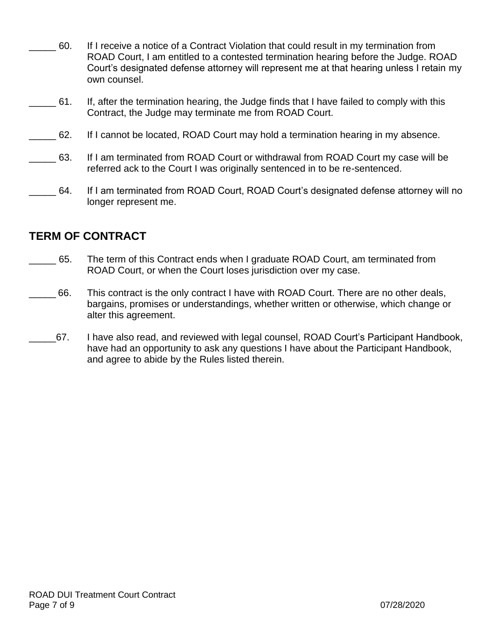| 60. | If I receive a notice of a Contract Violation that could result in my termination from   |
|-----|------------------------------------------------------------------------------------------|
|     | ROAD Court, I am entitled to a contested termination hearing before the Judge. ROAD      |
|     | Court's designated defense attorney will represent me at that hearing unless I retain my |
|     | own counsel.                                                                             |

- \_\_\_\_\_ 61. If, after the termination hearing, the Judge finds that I have failed to comply with this Contract, the Judge may terminate me from ROAD Court.
- \_\_\_\_\_ 62. If I cannot be located, ROAD Court may hold a termination hearing in my absence.
- \_\_\_\_\_ 63. If I am terminated from ROAD Court or withdrawal from ROAD Court my case will be referred ack to the Court I was originally sentenced in to be re-sentenced.
- 64. If I am terminated from ROAD Court, ROAD Court's designated defense attorney will no longer represent me.

# **TERM OF CONTRACT**

- 65. The term of this Contract ends when I graduate ROAD Court, am terminated from ROAD Court, or when the Court loses jurisdiction over my case.
- 66. This contract is the only contract I have with ROAD Court. There are no other deals, bargains, promises or understandings, whether written or otherwise, which change or alter this agreement.
- 67. I have also read, and reviewed with legal counsel, ROAD Court's Participant Handbook, have had an opportunity to ask any questions I have about the Participant Handbook, and agree to abide by the Rules listed therein.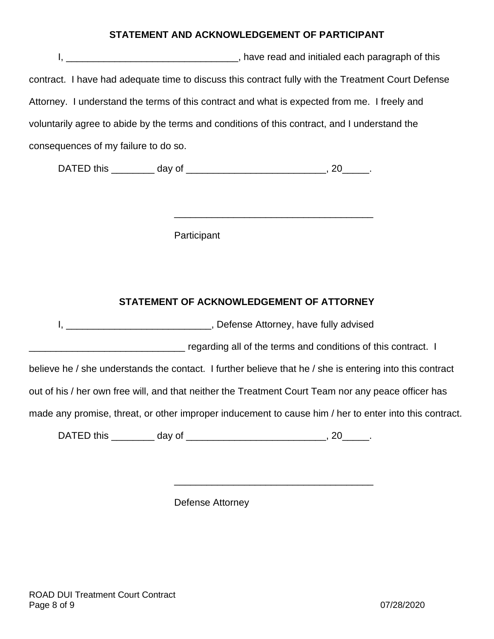#### **STATEMENT AND ACKNOWLEDGEMENT OF PARTICIPANT**

I, \_\_\_\_\_\_\_\_\_\_\_\_\_\_\_\_\_\_\_\_\_\_\_\_\_\_\_\_\_\_\_\_\_\_\_, have read and initialed each paragraph of this contract. I have had adequate time to discuss this contract fully with the Treatment Court Defense Attorney. I understand the terms of this contract and what is expected from me. I freely and voluntarily agree to abide by the terms and conditions of this contract, and I understand the consequences of my failure to do so.

DATED this \_\_\_\_\_\_\_\_\_ day of \_\_\_\_\_\_\_\_\_\_\_\_\_\_\_\_\_\_\_\_\_\_\_\_\_\_\_\_\_\_, 20\_\_\_\_\_\_.

**Participant** 

#### **STATEMENT OF ACKNOWLEDGEMENT OF ATTORNEY**

\_\_\_\_\_\_\_\_\_\_\_\_\_\_\_\_\_\_\_\_\_\_\_\_\_\_\_\_\_\_\_\_\_\_\_\_\_

I, \_\_\_\_\_\_\_\_\_\_\_\_\_\_\_\_\_\_\_\_\_\_\_\_\_\_\_, Defense Attorney, have fully advised

regarding all of the terms and conditions of this contract. I

believe he / she understands the contact. I further believe that he / she is entering into this contract

out of his / her own free will, and that neither the Treatment Court Team nor any peace officer has

made any promise, threat, or other improper inducement to cause him / her to enter into this contract.

\_\_\_\_\_\_\_\_\_\_\_\_\_\_\_\_\_\_\_\_\_\_\_\_\_\_\_\_\_\_\_\_\_\_\_\_\_

DATED this \_\_\_\_\_\_\_\_\_ day of \_\_\_\_\_\_\_\_\_\_\_\_\_\_\_\_\_\_\_\_\_\_\_\_\_\_\_\_\_\_, 20\_\_\_\_\_\_.

Defense Attorney